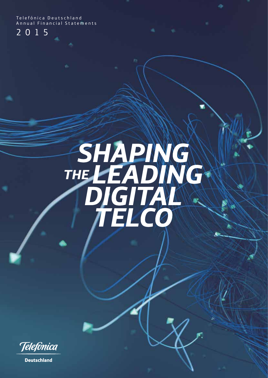Telefónica Deutschland Annual Financial Statements

2015

# **SHAPING** THE **LEADING** DIGITAL Telco

Telefonica

**Deutschland**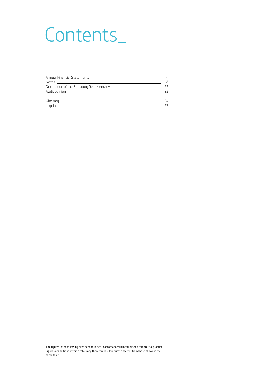## Contents\_

|                                                                                  | 8   |
|----------------------------------------------------------------------------------|-----|
| Declaration of the Statutory Representatives ___________________________________ | 22  |
|                                                                                  | -23 |
|                                                                                  | 74  |
|                                                                                  | 27  |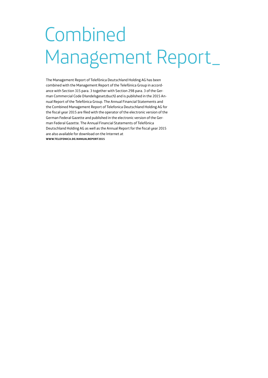# Combined Management Report\_

The Management Report of Telefónica Deutschland Holding AG has been combined with the Management Report of the Telefónica Group in accordance with Section 315 para. 3 together with Section 298 para. 3 of the German Commercial Code (Handelsgesetzbuch) and is published in the 2015 Annual Report of the Telefónica Group. The Annual Financial Statements and the Combined Management Report of Telefonica Deutschland Holding AG for the fiscal year 2015 are filed with the operator of the electronic version of the German Federal Gazette and published in the electronic version of the German Federal Gazette. The Annual Financial Statements of Telefónica Deutschland Holding AG as well as the Annual Report for the fiscal year 2015 are also available for download on the Internet at **WWW.TELEFONICA.DE/ANNUALREPORT2015**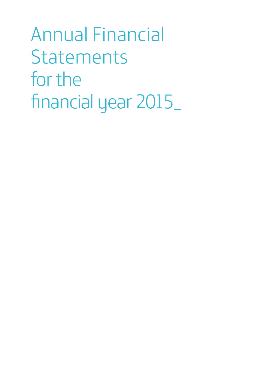<span id="page-3-0"></span>Annual Financial **Statements** for the financial year 2015\_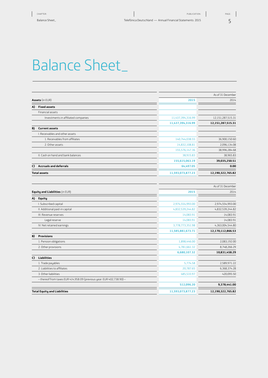### Balance Sheet\_

|                                     |                   | As of 31 December |  |  |  |
|-------------------------------------|-------------------|-------------------|--|--|--|
|                                     | 2015              | 2014              |  |  |  |
|                                     |                   |                   |  |  |  |
| Financial assets                    |                   |                   |  |  |  |
| Investments in affiliated companies | 11,437,394,316.99 | 12,151,287,515.31 |  |  |  |
|                                     | 11,437,394,316.99 | 12,151,287,515.31 |  |  |  |
| <b>Current assets</b>               |                   |                   |  |  |  |
| I. Receivables and other assets     |                   |                   |  |  |  |
| 1. Receivables from affiliates      | 140,744,038.55    | 36,900,150.60     |  |  |  |
| 2. Other assets                     | 14,832,108.81     | 2,096,134.08      |  |  |  |
|                                     | 155,576,147.36    | 38,996,284.68     |  |  |  |
| II. Cash on hand and bank balances  | 38,915.83         | 38,965.83         |  |  |  |
|                                     | 155,615,063.19    | 39,035,250.51     |  |  |  |
| <b>Accruals and deferrals</b>       | 64,497.05         | 0.00              |  |  |  |
|                                     | 11,593,073,877.23 | 12,190,322,765.82 |  |  |  |

|    |                                                                       |                   | As of 31 December |
|----|-----------------------------------------------------------------------|-------------------|-------------------|
|    | Equity and Liabilities (in EUR)                                       | 2015              | 2014              |
| A) | Equity                                                                |                   |                   |
|    | I. Subscribed capital                                                 | 2,974,554,993.00  | 2,974,554,993.00  |
|    | II. Additional paid-in capital                                        | 4,832,539,244.82  | 4,832,539,244.82  |
|    | III. Revenue reserves                                                 | 14,083.91         | 14,083.91         |
|    | Legal reserve                                                         | 14.083.91         | 14.083.91         |
|    | IV. Net retained earnings                                             | 3,778,773,351.98  | 4,363,004,544.80  |
|    |                                                                       | 11,585,881,673.71 | 12,170,112,866.53 |
| B) | <b>Provisions</b>                                                     |                   |                   |
|    | 1. Pension obligations                                                | 1,898,446.00      | 2,083,192.00      |
|    | 2. Other provisions                                                   | 4,781,661.32      | 8,748,266.29      |
|    |                                                                       | 6,680,107.32      | 10,831,458.29     |
| C) | <b>Liabilities</b>                                                    |                   |                   |
|    | 1. Trade payables                                                     | 5,774.58          | 2,589,971.22      |
|    | 2. Liabilities to affiliates                                          | 20,787.65         | 6,368,374.28      |
|    | 3. Other liabilities                                                  | 485,533.97        | 420,095.50        |
|    | - thereof from taxes EUR 414,958.09 (previous year: EUR 402,738.90) - |                   |                   |
|    |                                                                       | 512,096.20        | 9,378,441.00      |
|    | <b>Total Equity and Liabilities</b>                                   | 11,593,073,877.23 | 12,190,322,765.82 |
|    |                                                                       |                   |                   |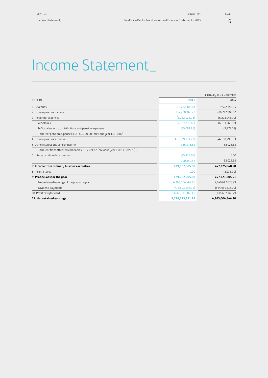|                                                                                  | 1 January to 31 December |                    |  |
|----------------------------------------------------------------------------------|--------------------------|--------------------|--|
| $($ In EUR $)$                                                                   | 2015                     | 2014               |  |
| 1. Revenues                                                                      | 10,282,308.01            | 9,422,355.34       |  |
| 2. Other operating income                                                        | 134,200,946.28           | 788,212,903.62     |  |
| 3. Personnel expenses                                                            | (5,022,925.13)           | (6,203,945.99)     |  |
| a) Salaries                                                                      | (4,937,833.68)           | (6, 193, 968.92)   |  |
| b) Social security contributions and pension expenses                            | (85.091.45)              | (9,977.07)         |  |
| - thereof pension expenses: EUR 80,000.00 (previous year: EUR 0.00) -            |                          |                    |  |
| 4. Other operating expenses                                                      | (10, 139, 174.23)        | (44, 158, 299.10)  |  |
| 5. Other interest and similar income                                             | 366,178.62               | 52.026.63          |  |
| - thereof from affiliated companies: EUR 421,42 (previous year: EUR 33,075.75) - |                          |                    |  |
| 6. Interest and similar expenses                                                 | (25,328.05)              | 0.00               |  |
|                                                                                  | 340,850.57               | 52,026.63          |  |
| 7. Income from ordinary business activities                                      | 129,662,005.50           | 747,325,040.50     |  |
| 8. Income taxes                                                                  | 0.00                     | (3,235.99)         |  |
| 9. Profit/Loss for the year                                                      | 129,662,005.50           | 747,321,804.51     |  |
| Net retained earnings of the previous year                                       | 4,363,004,544.80         | 4,140,647,078.29   |  |
| Dividend payments                                                                | (713,893,198.32)         | (524, 964, 338.00) |  |
| 10. Profit carryforward                                                          | 3,649,111,346.48         | 3,615,682,740.29   |  |
| 11. Net retained earnings                                                        | 3,778,773,351.98         | 4,363,004,544.80   |  |

6 PAGE:

 $\overline{\phantom{a}}$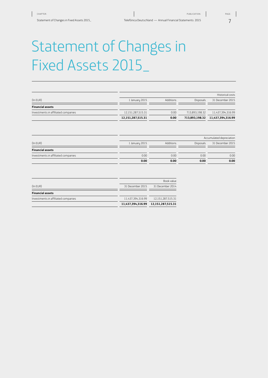### Statement of Changes in Fixed Assets 2015\_

|                   |           |                  | Historical costs  |
|-------------------|-----------|------------------|-------------------|
| 1 January 2015    | Additions | <b>Disposals</b> | 31 December 2015  |
|                   |           |                  |                   |
| 12,151,287,515.31 | 0.00      | 713.893.198.32   | 11,437,394,316.99 |
| 12,151,287,515.31 | 0.00      | 713,893,198.32   | 11,437,394,316.99 |
|                   |           |                  |                   |

|                                     | Accumulated depreciation |           |                  |                  |
|-------------------------------------|--------------------------|-----------|------------------|------------------|
| (In EUR)                            | 1 January 2015           | Additions | <b>Disposals</b> | 31 December 2015 |
| <b>Financial assets</b>             |                          |           |                  |                  |
| Investments in affiliated companies | 0.00                     | 0.00      | 0.00             | 0.00             |
|                                     | 0.00                     | 0.00      | 0.00             | 0.00             |

|                                     |                   | Book value                          |
|-------------------------------------|-------------------|-------------------------------------|
| (ln EUR)                            | 31 December 2015  | 31 December 2014                    |
| <b>Financial assets</b>             |                   |                                     |
| Investments in affiliated companies | 11.437.394.316.99 | 12,151,287,515.31                   |
|                                     |                   | 11,437,394,316.99 12,151,287,515.31 |
|                                     |                   |                                     |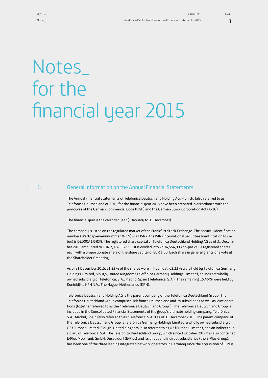## <span id="page-7-0"></span>Notes\_ for the financial year 2015

#### $\vert$  1.

#### General Information on the Annual Financial Statements

The Annual Financial Statements of Telefónica Deutschland Holding AG, Munich, (also referred to as Telefónica Deutschland or TDH) for the financial year 2015 have been prepared in accordance with the principles of the German Commercial Code (HGB) and the German Stock Corporation Act (AktG).

The financial year is the calendar year (1 January to 31 December).

The company is listed on the regulated market of the Frankfurt Stock Exchange. The security identification number (Wertpapierkennnummer, WKN) is A1J5RX, the ISIN (International Securities Identification Number) is DE000A1J5RX9. The registered share capital of Telefónica Deutschland Holding AG as of 31 December 2015 amounted to EUR 2,974,554,993. It is divided into 2,974,554,993 no-par value registered shares each with a proportionate share of the share capital of EUR 1.00. Each share in general grants one vote at the Shareholders' Meeting.

As of 31 December 2015, 21.32% of the shares were in free float. 63.22% were held by Telefónica Germany Holdings Limited, Slough, United Kingdom (Telefónica Germany Holdings Limited), an indirect wholly owned subsidiary of Telefónica, S.A., Madrid, Spain (Telefónica, S.A.). The remaining 15.46% were held by Koninklijke KPN N.V., The Hague, Netherlands (KPN).

Telefónica Deutschland Holding AG is the parent company of the Telefónica Deutschland Group. The Telefónica Deutschland Group comprises Telefónica Deutschland and its subsidiaries as well as joint operations (together referred to as the "Telefónica Deutschland Group"). The Telefónica Deutschland Group is included in the Consolidated Financial Statements of the group's ultimate holding company, Telefónica, S.A., Madrid, Spain (also referred to as "Telefónica, S.A.") as of 31 December 2015. The parent company of the Telefónica Deutschland Group is Telefónica Germany Holdings Limited, a wholly owned subsidiary of O2 (Europe) Limited, Slough, United Kingdom (also referred to as O2 (Europe) Limited), and an indirect subsidiary of Telefónica, S.A. The Telefónica Deutschland Group, which since 1 October 2014 has also contained E-Plus Mobilfunk GmbH, Dusseldorf (E-Plus) and its direct and indirect subsidiaries (the E-Plus Group), has been one of the three leading integrated network operators in Germany since the acquisition of E-Plus.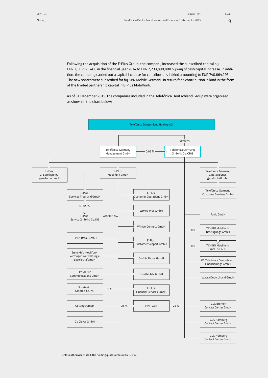9

Following the acquisition of the E-Plus Group, the company increased the subscribed capital by EUR 1,116,945,400 in the financial year 2014 to EUR 2,233,890,800 by way of cash capital increase. In addition, the company carried out a capital increase for contributions in kind amounting to EUR 740,664,193. The new shares were subscribed for by KPN Mobile Germany in return for a contribution in kind in the form of the limited partnership capital in E-Plus Mobilfunk.

As of 31 December 2015, the companies included in the Telefónica Deutschland Group were organised as shown in the chart below:

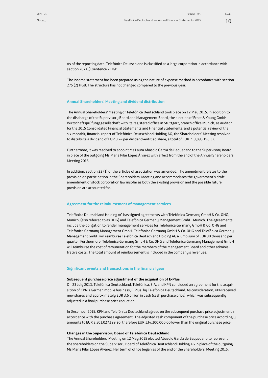$1<sup>0</sup>$ 

As of the reporting date, Telefónica Deutschland is classified as a large corporation in accordance with section 267 (3), sentence 2 HGB.

The income statement has been prepared using the nature of expense method in accordance with section 275 (2) HGB. The structure has not changed compared to the previous year.

#### **Annual Shareholders' Meeting and dividend distribution**

The Annual Shareholders' Meeting of Telefónica Deutschland took place on 12 May 2015. In addition to the discharge of the Supervisory Board and Management Board, the election of Ernst & Young GmbH Wirtschaftsprüfungsgesellschaft with its registered office in Stuttgart, branch office Munich, as auditor for the 2015 Consolidated Financial Statements and Financial Statements, and a potential review of the six-monthly financial report of Telefónica Deutschland Holding AG, the Shareholders' Meeting resolved to distribute a dividend of EUR 0.24 per dividend-entitled share, a total of EUR 713,893,198.32.

Furthermore, it was resolved to appoint Ms Laura Abasolo García de Baquedano to the Supervisory Board in place of the outgoing Ms Maria Pilar López Álvarez with effect from the end of the Annual Shareholders' Meeting 2015.

In addition, section 23 (1) of the articles of association was amended. The amendment relates to the provision on participation in the Shareholders' Meeting and accommodates the government's draft amendment of stock corporation law insofar as both the existing provision and the possible future provision are accounted for.

#### **Agreement for the reimbursement of management services**

Telefónica Deutschland Holding AG has signed agreements with Telefónica Germany GmbH & Co. OHG, Munich, (also referred to as OHG) and Telefónica Germany Management GmbH, Munich. The agreements include the obligation to render management services for Telefónica Germany GmbH & Co. OHG and Telefónica Germany Management GmbH. Telefónica Germany GmbH & Co. OHG and Telefónica Germany Management GmbH will reimburse Telefónica Deutschland Holding AG a lump sum of EUR 30 thousand per quarter. Furthermore, Telefónica Germany GmbH & Co. OHG and Telefónica Germany Management GmbH will reimburse the cost of remuneration for the members of the Management Board and other administrative costs. The total amount of reimbursement is included in the company's revenues.

#### **Significant events and transactions in the financial year**

#### **Subsequent purchase price adjustment of the acquisition of E-Plus**

On 23 July 2013, Telefónica Deutschland, Telefónica, S.A. and KPN concluded an agreement for the acquisition of KPN's German mobile business, E-Plus, by Telefónica Deutschland. As consideration, KPN received new shares and approximately EUR 3.6 billion in cash (cash purchase price), which was subsequently adjusted in a final purchase price reduction.

In December 2015, KPN and Telefónica Deutschland agreed on the subsequent purchase price adjustment in accordance with the purchase agreement. The adjusted cash component of the purchase price accordingly amounts to EUR 3,501,027,199.20, therefore EUR 134,200,000.00 lower than the original purchase price.

#### **Changes in the Supervisory Board of Telefónica Deutschland**

The Annual Shareholders' Meeting on 12 May 2015 elected Abasolo García de Baquedano to represent the shareholders on the Supervisory Board of Telefónica Deutschland Holding AG in place of the outgoing Ms Maria Pilar López Álvarez. Her term of office began as of the end of the Shareholders' Meeting 2015.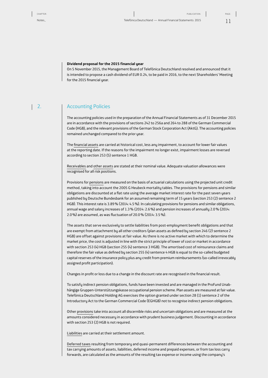#### **Dividend proposal for the 2015 financial year**

On 5 November 2015, the Management Board of Telefónica Deutschland resolved and announced that it is intended to propose a cash dividend of EUR 0.24, to be paid in 2016, to the next Shareholders' Meeting for the 2015 financial year.

#### $\vert 2.$

#### Accounting Policies

The accounting policies used in the preparation of the Annual Financial Statements as of 31 December 2015 are in accordance with the provisions of sections 242 to 256a and 264 to 288 of the German Commercial Code (HGB), and the relevant provisions of the German Stock Corporation Act (AktG). The accounting policies remained unchanged compared to the prior year.

The financial assets are carried at historical cost, less any impairment, to account for lower fair values at the reporting date. If the reasons for the impairment no longer exist, impairment losses are reversed according to section 253 (5) sentence 1 HGB.

Receivables and other assets are stated at their nominal value. Adequate valuation allowances were recognised for all risk positions.

Provisions for pensions are measured on the basis of actuarial calculations using the projected unit credit method, taking into account the 2005 G Heubeck mortality tables. The provisions for pensions and similar obligations are discounted at a flat rate using the average market interest rate for the past seven years published by Deutsche Bundesbank for an assumed remaining term of 15 years (section 253 (2) sentence 2 HGB). This interest rate is 3.89% (2014: 4.5%). In calculating provisions for pensions and similar obligations, annual wage and salary increases of 1.3% (2014: 2.6%) and pension increases of annually 2.0% (2014: 2.0%) are assumed, as was fluctuation of 20.0% (2014: 3.5%).

The assets that serve exclusively to settle liabilities from post-employment benefit obligations and that are exempt from attachment by all other creditors (plan assets as defined by section 246 (2) sentence 2 HGB) are offset against provisions at fair value. As there is no active market with which to determine the market price, the cost is adjusted in line with the strict principle of lower of cost or market in accordance with section 253 (4) HGB (section 255 (4) sentence 3 HGB). The amortised cost of reinsurance claims and therefore the fair value as defined by section 255 (4) sentence 4 HGB is equal to the so-called budgeted capital reserves of the insurance policy plus any credit from premium reimbursements (so-called irrevocably assigned profit participation).

Changes in profit or loss due to a change in the discount rate are recognised in the financial result.

To satisfy indirect pension obligations, funds have been invested and are managed in the ProFund Unabhängige Gruppen-Unterstützungskasse occupational pension scheme. Plan assets are measured at fair value. Telefónica Deutschland Holding AG exercises the option granted under section 28 (1) sentence 2 of the Introductory Act to the German Commercial Code (EGHGB) not to recognise indirect pension obligations.

Other provisions take into account all discernible risks and uncertain obligations and are measured at the amounts considered necessary in accordance with prudent business judgement. Discounting in accordance with section 253 (2) HGB is not required.

Liabilities are carried at their settlement amount.

Deferred taxes resulting from temporary and quasi-permanent differences between the accounting and tax carrying amounts of assets, liabilities, deferred income and prepaid expenses, or from tax loss carry forwards, are calculated as the amounts of the resulting tax expense or income using the company's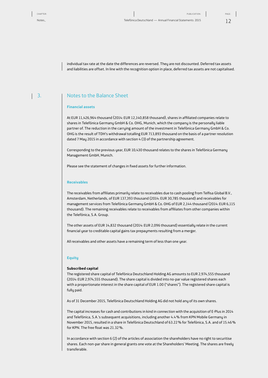12 PAGE:

individual tax rate at the date the differences are reversed. They are not discounted. Deferred tax assets and liabilities are offset. In line with the recognition option in place, deferred tax assets are not capitalised.

#### Notes to the Balance Sheet 3.

#### **Financial assets**

At EUR 11,426,964 thousand (2014: EUR 12,140,858 thousand), shares in affiliated companies relate to shares in Telefónica Germany GmbH & Co. OHG, Munich, which the company is the personally liable partner of. The reduction in the carrying amount of the investment in Telefónica Germany GmbH & Co. OHG is the result of TDH's withdrawal totalling EUR 713,893 thousand on the basis of a partner resolution dated 7 May 2015 in accordance with section 4 (3) of the partnership agreement.

Corresponding to the previous year, EUR 10,430 thousand relates to the shares in Telefónica Germany Management GmbH, Munich.

Please see the statement of changes in fixed assets for further information.

#### **Receivables**

The receivables from affiliates primarily relate to receivables due to cash pooling from Telfisa Global B.V., Amsterdam, Netherlands, of EUR 137,393 thousand (2014: EUR 30,785 thousand) and receivables for management services from Telefónica Germany GmbH & Co. OHG of EUR 2,144 thousand (2014: EUR 6,115 thousand). The remaining receivables relate to receivables from affiliates from other companies within the Telefónica, S.A. Group.

The other assets of EUR 14,832 thousand (2014: EUR 2,096 thousand) essentially relate in the current financial year to creditable capital gains tax prepayments resulting from a merger.

All receivables and other assets have a remaining term of less than one year.

#### **Equity**

#### **Subscribed capital**

The registered share capital of Telefónica Deutschland Holding AG amounts to EUR 2,974,555 thousand (2014: EUR 2,974,555 thousand). The share capital is divided into no-par value registered shares each with a proportionate interest in the share capital of EUR 1.00 ("shares"). The registered share capital is fully paid.

As of 31 December 2015, Telefónica Deutschland Holding AG did not hold any of its own shares.

The capital increases for cash and contributions in kind in connection with the acquisition of E-Plus in 2014 and Telefónica, S.A.'s subsequent acquisitions, including another 4.4% from KPN Mobile Germany in November 2015, resulted in a share in Telefónica Deutschland of 63.22% for Telefónica, S.A. and of 15.46% for KPN. The free float was 21.32%.

In accordance with section 6 (2) of the articles of association the shareholders have no right to securitise shares. Each non-par share in general grants one vote at the Shareholders' Meeting. The shares are freely transferable.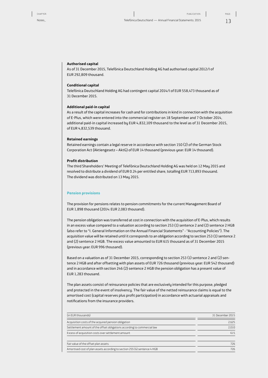#### **Authorised capital**

As of 31 December 2015, Telefónica Deutschland Holding AG had authorised capital 2012/I of EUR 292,809 thousand.

#### **Conditional capital**

Telefónica Deutschland Holding AG had contingent capital 2014/I of EUR 558,473 thousand as of 31 December 2015.

#### **Additional paid-in capital**

As a result of the capital increases for cash and for contributions in kind in connection with the acquisition of E-Plus, which were entered into the commercial register on 18 September and 7 October 2014, additional paid-in capital increased by EUR 4,832,109 thousand to the level as of 31 December 2015, of EUR 4,832,539 thousand.

#### **Retained earnings**

Retained earnings contain a legal reserve in accordance with section 150 (2) of the German Stock Corporation Act (Aktiengesetz – AktG) of EUR 14 thousand (previous year: EUR 14 thousand).

#### **Profit distribution**

The third Shareholders' Meeting of Telefónica Deutschland Holding AG was held on 12 May 2015 and resolved to distribute a dividend of EUR 0.24 per entitled share, totalling EUR 713,893 thousand. The dividend was distributed on 13 May 2015.

#### **Pension provisions**

The provision for pensions relates to pension commitments for the current Management Board of EUR 1,898 thousand (2014: EUR 2,083 thousand).

The pension obligation was transferred at cost in connection with the acquisition of E-Plus, which results in an excess value compared to a valuation according to section 253 (1) sentence 2 and (2) sentence 2 HGB (also refer to "I. General Information on the Annual Financial Statements" - "Accounting Policies"). The acquisition value will be retained until it corresponds to an obligation according to section 253 (1) sentence 2 and (2) sentence 2 HGB. The excess value amounted to EUR 615 thousand as of 31 December 2015 (previous year: EUR 996 thousand).

Based on a valuation as of 31 December 2015, corresponding to section 253 (1) sentence 2 and (2) sentence 2 HGB and after offsetting with plan assets of EUR 726 thousand (previous year: EUR 542 thousand) and in accordance with section 246 (2) sentence 2 HGB the pension obligation has a present value of EUR 1,283 thousand.

The plan assets consist of reinsurance policies that are exclusively intended for this purpose, pledged and protected in the event of insolvency. The fair value of the netted reinsurance claims is equal to the amortised cost (capital reserves plus profit participation) in accordance with actuarial appraisals and notifications from the insurance providers.

| (in EUR thousands)                                                        | 31 December 2015 |
|---------------------------------------------------------------------------|------------------|
| Acquisition costs of the acquired pension obligation                      | 2.625            |
| Settlement amount of the offset obligations according to commercial law   | 2.010            |
| Excess of acquisition costs over settlement amount                        | 615              |
| Fair value of the offset plan assets                                      | 726              |
| Amortised cost of plan assets according to section 255 (4) sentence 4 HGB | 726              |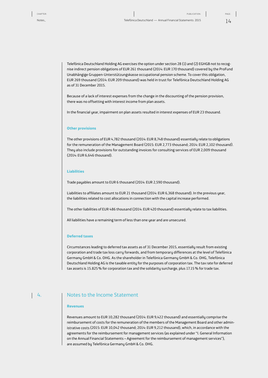Telefónica Deutschland Holding AG exercises the option under section 28 (1) and (2) EGHGB not to recognise indirect pension obligations of EUR 261 thousand (2014: EUR 170 thousand) covered by the ProFund Unabhängige Gruppen-Unterstützungskasse occupational pension scheme. To cover this obligation, EUR 269 thousand (2014: EUR 209 thousand) was held in trust for Telefónica Deutschland Holding AG as of 31 December 2015.

Because of a lack of interest expenses from the change in the discounting of the pension provision, there was no offsetting with interest income from plan assets.

In the financial year, impairment on plan assets resulted in interest expenses of EUR 23 thousand.

#### **Other provisions**

The other provisions of EUR 4,782 thousand (2014: EUR 8,748 thousand) essentially relate to obligations for the remuneration of the Management Board (2015: EUR 2,773 thousand; 2014: EUR 2,102 thousand). They also include provisions for outstanding invoices for consulting services of EUR 2,009 thousand (2014: EUR 6,646 thousand).

#### **Liabilities**

Trade payables amount to EUR 6 thousand (2014: EUR 2,590 thousand).

Liabilities to affiliates amount to EUR 21 thousand (2014: EUR 6,368 thousand). In the previous year, the liabilities related to cost allocations in connection with the capital increase performed.

The other liabilities of EUR 486 thousand (2014: EUR 420 thousand) essentially relate to tax liabilities.

All liabilities have a remaining term of less than one year and are unsecured.

#### **Deferred taxes**

Circumstances leading to deferred tax assets as of 31 December 2015, essentially result from existing corporation and trade tax loss carry forwards, and from temporary differences at the level of Telefónica Germany GmbH & Co. OHG. As the shareholder in Telefónica Germany GmbH & Co. OHG, Telefónica Deutschland Holding AG is the taxable entity for the purposes of corporation tax. The tax rate for deferred tax assets is 15.825% for corporation tax and the solidarity surcharge, plus 17.15% for trade tax.

#### 4.

#### Notes to the Income Statement

#### **Revenues**

Revenues amount to EUR 10,282 thousand (2014: EUR 9,422 thousand) and essentially comprise the reimbursement of costs for the remuneration of the members of the Management Board and other administrative costs (2015: EUR 10,042 thousand; 2014: EUR 9,212 thousand), which, in accordance with the agreements for the reimbursement for management services (as explained under "I. General Information on the Annual Financial Statements – Agreement for the reimbursement of management services"), are assumed by Telefónica Germany GmbH & Co. OHG.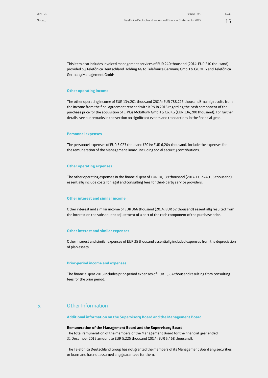This item also includes invoiced management services of EUR 240 thousand (2014: EUR 210 thousand) provided by Telefónica Deutschland Holding AG to Telefónica Germany GmbH & Co. OHG and Telefónica Germany Management GmbH.

#### **Other operating income**

The other operating income of EUR 134,201 thousand (2014: EUR 788,213 thousand) mainly results from the income from the final agreement reached with KPN in 2015 regarding the cash component of the purchase price for the acquisition of E-Plus Mobilfunk GmbH & Co. KG (EUR 134,200 thousand). For further details, see our remarks in the section on significant events and transactions in the financial year.

#### **Personnel expenses**

The personnel expenses of EUR 5,023 thousand (2014: EUR 6,204 thousand) include the expenses for the remuneration of the Management Board, including social security contributions.

#### **Other operating expenses**

The other operating expenses in the financial year of EUR 10,139 thousand (2014: EUR 44,158 thousand) essentially include costs for legal and consulting fees for third-party service providers.

#### **Other interest and similar income**

Other interest and similar income of EUR 366 thousand (2014: EUR 52 thousand) essentially resulted from the interest on the subsequent adjustment of a part of the cash component of the purchase price.

#### **Other interest and similar expenses**

Other interest and similar expenses of EUR 25 thousand essentially included expenses from the depreciation of plan assets.

#### **Prior-period income and expenses**

The financial year 2015 includes prior-period expenses of EUR 1,554 thousand resulting from consulting fees for the prior period.

#### Other Information 5.

#### **Additional information on the Supervisory Board and the Management Board**

#### **Remuneration of the Management Board and the Supervisory Board**

The total remuneration of the members of the Management Board for the financial year ended 31 December 2015 amount to EUR 5,225 thousand (2014: EUR 5,468 thousand).

The Telefónica Deutschland Group has not granted the members of its Management Board any securities or loans and has not assumed any guarantees for them.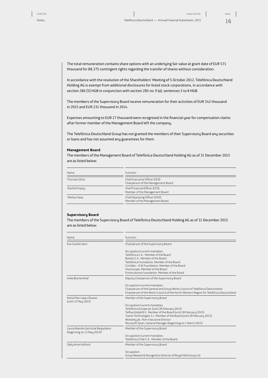The total remuneration contains share options with an underlying fair value at grant date of EUR 571 thousand for 88,375 contingent rights regarding the transfer of shares without consideration.

In accordance with the resolution of the Shareholders' Meeting of 5 October 2012, Telefónica Deutschland Holding AG is exempt from additional disclosures for listed stock corporations, in accordance with section 286 (5) HGB in conjunction with section 285 no.9 (a), sentences 5 to 8 HGB.

The members of the Supervisory Board receive remuneration for their activities of EUR 342 thousand in 2015 and EUR 231 thousand in 2014.

Expenses amounting to EUR 27 thousand were recognised in the financial year for compensation claims after former member of the Management Board left the company.

The Telefónica Deutschland Group has not granted the members of their Supervisory Board any securities or loans and has not assumed any guarantees for them.

#### **Management Board**

The members of the Management Board of Telefónica Deutschland Holding AG as of 31 December 2015 are as listed below:

| Name                  | <b>Function</b>                                                      |
|-----------------------|----------------------------------------------------------------------|
| <b>Thorsten Dirks</b> | Chief Executive Officer (CEO)<br>Chairperson of the Management Board |
| Rachel Empeu          | Chief Financial Officer (CFO)<br>Member of the Management Board      |
| Markus Haas           | Chief Operating Officer (COO)<br>Member of the Management Board      |

#### **Supervisory Board**

The members of the Supervisory Board of Telefónica Deutschland Holding AG as of 31 December 2015 are as listed below:

| Name                                                                         | Function                                                                                |  |  |  |
|------------------------------------------------------------------------------|-----------------------------------------------------------------------------------------|--|--|--|
| <b>Fva Castillo Sanz</b>                                                     | Chairperson of the Supervisory Board                                                    |  |  |  |
|                                                                              | Occupation/current mandates:                                                            |  |  |  |
|                                                                              | Telefónica S.A., Member of the Board                                                    |  |  |  |
|                                                                              | Bankia S.A., Member of the Board                                                        |  |  |  |
|                                                                              | Telefónica Foundation, Member of the Board                                              |  |  |  |
|                                                                              | Comillas - ICAI Foundation. Member of the Board                                         |  |  |  |
|                                                                              | Visa Europe, Member of the Board                                                        |  |  |  |
|                                                                              | Entreculturas Foundation, Member of the Board                                           |  |  |  |
| Imke Blumenthal <sup>1</sup>                                                 | Deputy Chairperson of the Supervisory Board                                             |  |  |  |
|                                                                              | Occupation/current mandates:                                                            |  |  |  |
|                                                                              | Chairperson of the General and Group Works Council of Telefónica Deutschland            |  |  |  |
|                                                                              | Chairperson of the Works Council of the North-Western Region for Telefónica Deutschland |  |  |  |
| María Pilar López Álvarez<br>(until 12 May 2015)                             | Member of the Supervisory Board                                                         |  |  |  |
|                                                                              | Occupation/current mandates:                                                            |  |  |  |
|                                                                              | Telefónica Europe plc (until 28 February 2015)                                          |  |  |  |
|                                                                              | Telfisa Global B.V., Member of the Board (until 28 February 2015)                       |  |  |  |
|                                                                              | Tuenti Technologies S.L. Member of the Board (until 28 February 2015)                   |  |  |  |
|                                                                              | Wolseley plc, Non-Executive Director                                                    |  |  |  |
|                                                                              | Microsoft Spain, General Manager (beginning on 1 March 2015)                            |  |  |  |
| Laura Abasolo García de Baguedano<br>(beginning on 12 May 2015) <sup>2</sup> | Member of the Supervisory Board                                                         |  |  |  |
|                                                                              | Occupation/current mandates:                                                            |  |  |  |
|                                                                              | Telefónica Chile S.A., Member of the Board                                              |  |  |  |
| Sally Anne Ashford                                                           | Member of the Supervisory Board                                                         |  |  |  |
|                                                                              | Occupation:                                                                             |  |  |  |
|                                                                              | Group Reward & Recognition Director of Royal Mail Group Ltd.                            |  |  |  |
|                                                                              |                                                                                         |  |  |  |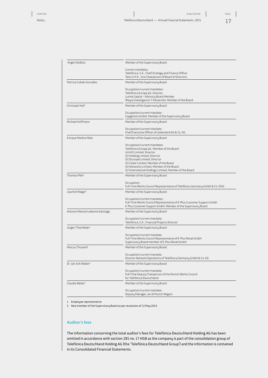Notes\_ Telefónica Deutschland — Annual Financial Statements 2015

| Angel Vilá Boix                  | Member of the Supervisory Board                                                                |
|----------------------------------|------------------------------------------------------------------------------------------------|
|                                  | Current mandates:                                                                              |
|                                  | Telefónica, S.A., Chief Strategy and Finance Officer                                           |
|                                  | Telco S.P.A., Vice Chairperson of Board of Directors                                           |
| Patricia Cobián González         | Member of the Supervisory Board                                                                |
|                                  | Occupation/current mandates:                                                                   |
|                                  | Telefónica Europe plc, Director                                                                |
|                                  | Lumia Capital - Advisory Board Member<br>Wayra Investigacion Y Desarrollo, Member of the Board |
| Christoph Heil <sup>1</sup>      | Member of the Supervisory Board                                                                |
|                                  | Occupation/current mandate:                                                                    |
|                                  | Capgemini GmbH, Member of the Supervisory Board                                                |
| Michael Hoffmann                 | Member of the Supervisory Board                                                                |
|                                  | Occupation/current mandate:                                                                    |
|                                  | Chief Executive Officer of Lekkerland AG & Co. KG                                              |
| Enrique Medina Malo              | Member of the Supervisory Board                                                                |
|                                  | Occupation/current mandates:                                                                   |
|                                  | Telefónica Europe plc, Member of the Board                                                     |
|                                  | mmO2 Limited, Director<br>02 Holding Limited, Director                                         |
|                                  | O2 (Europe) Limited, Director                                                                  |
|                                  | 02 Cedar Limited, Member of the Board                                                          |
|                                  | 02 Networks Limited, Member of the Board                                                       |
|                                  | 02 International Holdings Limited, Member of the Board                                         |
| Thomas Pfeil <sup>1</sup>        | Member of the Supervisory Board                                                                |
|                                  | Occupation:                                                                                    |
|                                  | Full-Time Works Council Representative of Telefónica Germany GmbH & Co. OHG                    |
| Joachim Rieger <sup>1</sup>      | Member of the Supervisory Board                                                                |
|                                  | Occupation/current mandates:                                                                   |
|                                  | Full-Time Works Council Representative of E-Plus Customer Support GmbH                         |
|                                  | E-Plus Customer Support GmbH, Member of the Supervisory Board                                  |
| Antonio Manuel Ledesma Santiago  | Member of the Supervisory Board                                                                |
|                                  | Occupation/current mandate:                                                                    |
|                                  | Telefónica, S.A., Financial Projects Director                                                  |
| Jürgen Thierfelder <sup>1</sup>  | Member of the Supervisory Board                                                                |
|                                  | Occupation/current mandate:                                                                    |
|                                  | Full-Time Works Council Representative of E-Plus Retail GmbH                                   |
|                                  | Supervisory Board member of E-Plus Retail GmbH                                                 |
| Marcus Thurand <sup>1</sup>      | Member of the Supervisory Board                                                                |
|                                  | Occupation/current mandate:                                                                    |
|                                  | Director Network Operations of Telefónica Germany GmbH & Co. KG                                |
| Dr. Jan-Erik Walter <sup>1</sup> | Member of the Supervisory Board                                                                |
|                                  | Occupation/current mandate:                                                                    |
|                                  | Full Time Deputy Chairperson of the Munich Works Council<br>for Telefónica Deutschland         |
|                                  | Member of the Supervisory Board                                                                |
| Claudia Weber <sup>1</sup>       |                                                                                                |
|                                  | Occupation/current mandate:                                                                    |
|                                  | Deputy Manager, ver.di Munich Region                                                           |
|                                  |                                                                                                |

1 Employee representative

2 New member of the Supervisory Board as per resolution of 12 May 2015

#### **Auditor's fees**

The information concerning the total auditor's fees for Telefónica Deutschland Holding AG has been omitted in accordance with section 285 no.17 HGB as the company is part of the consolidation group of Telefónica Deutschland Holding AG (the 'Telefónica Deutschland Group') and the information is contained in its Consolidated Financial Statements.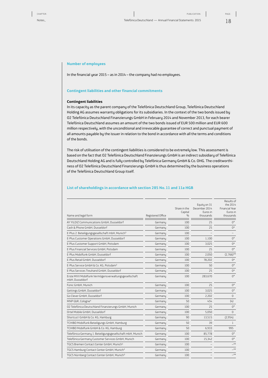#### **Number of employees**

In the financial year 2015 – as in 2014 – the company had no employees.

#### **Contingent liabilities and other financial commitments**

#### **Contingent liabilities**

In its capacity as the parent company of the Telefónica Deutschland Group, Telefónica Deutschland Holding AG assumes warranty obligations for its subsidiaries. In the context of the two bonds issued by O2 Telefónica Deutschland Finanzierungs GmbH in February 2014 and November 2013, for each bearer Telefónica Deutschland assumes an amount of the two bonds issued of EUR 500 million and EUR 600 million respectively, with the unconditional and irrevocable guarantee of correct and punctual payment of all amounts payable by the issuer in relation to the bond in accordance with all the terms and conditions of the bonds.

The risk of utilisation of the contingent liabilities is considered to be extremely low. This assessment is based on the fact that O2 Telefónica Deutschland Finanzierungs GmbH is an indirect subsidiary of Telefónica Deutschland Holding AG and is fully controlled by Telefónica Germany GmbH & Co. OHG. The creditworthiness of O2 Telefónica Deutschland Finanzierungs GmbH is thus determined by the business operations of the Telefónica Deutschland Group itself.

#### **List of shareholdings in accordance with section 285 No.11 and 11a HGB**

| Name and legal form                                                     | Registered Office | Share in the<br>Capital<br>$\frac{0}{0}$ | Equity on 31<br>December 2014<br>Euros in<br>thousands | Results of<br>the 2014<br><b>Financial Year</b><br>Euros in<br>thousands |
|-------------------------------------------------------------------------|-------------------|------------------------------------------|--------------------------------------------------------|--------------------------------------------------------------------------|
| AY YILDIZ Communications GmbH, Dusseldorf                               | Germanu           | 100                                      | 25                                                     | $0^*$                                                                    |
| Cash & Phone GmbH, Dusseldorf                                           | Germanu           | 100                                      | 25                                                     | $0^*$                                                                    |
| E-Plus 2. Beteiligungsgesellschaft mbH, Munich <sup>3</sup>             | Germanu           | 100                                      |                                                        |                                                                          |
| E-Plus Customer Operations GmbH, Dusseldorf                             | Germany           | 100                                      | 1.100                                                  | $0^*$                                                                    |
| E-Plus Customer Support GmbH, Potsdam                                   | Germany           | 100                                      | 3,025                                                  | $0^*$                                                                    |
| E-Plus Financial Services GmbH, Potsdam                                 | Germany           | 100                                      | 25                                                     | $0^*$                                                                    |
| E-Plus Mobilfunk GmbH, Dusseldorf                                       | Germanu           | 100                                      | 2,050                                                  | $(2.766)$ **                                                             |
| E-Plus Retail GmbH, Dusseldorf                                          | Germany           | 100                                      | 78,202                                                 | $0^*$                                                                    |
| E-Plus Service GmbH & Co. KG, Potsdam <sup>2</sup>                      | Germany           | 100                                      | 50                                                     | $0^*$                                                                    |
| E-Plus Services Treuhand GmbH, Dusseldorf                               | Germanu           | 100                                      | 25                                                     | $0^*$                                                                    |
| Erste MVV Mobilfunk Vermögensverwaltungsgesellschaft<br>mbH, Dusseldorf | Germany           | 100                                      | 283,670                                                | $0^*$                                                                    |
| Fonic GmbH, Munich                                                      | Germanu           | 100                                      | 25                                                     | $0^*$                                                                    |
| Gettings GmbH, Dusseldorf                                               | Germanu           | 100                                      | 3,025                                                  | $0^*$                                                                    |
| Go Clever GmbH, Dusseldorf                                              | Germany           | 100                                      | 2.202                                                  | $\mathbf{0}$                                                             |
| MNP GbR, Cologne <sup>4</sup>                                           | Germany           | 50                                       | 454                                                    | (4)                                                                      |
| 02 Telefónica Deutschland Finanzierungs GmbH, Munich                    | Germany           | 100                                      | 25                                                     | $0^*$                                                                    |
| Ortel Mobile GmbH, Dusseldorf                                           | Germany           | 100                                      | 5,050                                                  | $\Omega$                                                                 |
| Shortcut I GmbH & Co. KG, Hamburg                                       | Germany           | 90                                       | 13,515                                                 | (2,954)                                                                  |
| TCHIBO Mobilfunk Beteiligungs GmbH, Hamburg                             | Germany           | 50                                       | 39                                                     | 1                                                                        |
| TCHIBO Mobilfunk GmbH & Co. KG, Hamburg                                 | Germany           | 50                                       | 6,933                                                  | 995                                                                      |
| Telefónica Germany 1. Beteiligungsgesellschaft mbH, Munich              | Germany           | 100                                      | 85,778                                                 | $0^*$                                                                    |
| Telefónica Germany Customer Services GmbH, Munich                       | Germany           | 100                                      | 15,342                                                 | $0^*$                                                                    |
| TGCS Bremen Contact Center GmbH, Munich <sup>3</sup>                    | Germany           | 100                                      |                                                        | $-**$                                                                    |
| TGCS Hamburg Contact Center GmbH, Munich <sup>3</sup>                   | Germany           | 100                                      |                                                        | $\pm$ **                                                                 |
| TGCS Nürnberg Contact Center GmbH, Munich <sup>3</sup>                  | Germany           | 100                                      |                                                        | $\rightarrow$                                                            |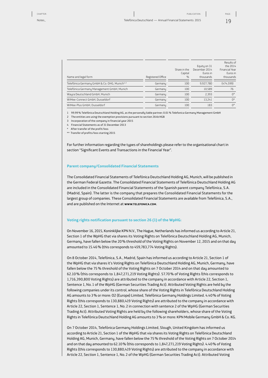| Name and legal form                                      | Registered Office | Share in the<br>Capital<br>$\frac{0}{0}$ | Equity on 31<br>December 2014<br>Euros in<br>thousands | Results of<br>the 2014<br><b>Financial Year</b><br>Euros in<br>thousands |
|----------------------------------------------------------|-------------------|------------------------------------------|--------------------------------------------------------|--------------------------------------------------------------------------|
| Telefónica Germany GmbH & Co. OHG, Munich <sup>1,2</sup> | Germanu           | 100                                      | 9.927.780                                              | (474, 599)                                                               |
| Telefónica Germany Management GmbH, Munich               | Germanu           | 100                                      | 10.589                                                 | 76                                                                       |
| Wayra Deutschland GmbH, Munich                           | Germanu           | 100                                      | 2.393                                                  | $0^*$                                                                    |
| WiMee-Connect GmbH, Dusseldorf                           | Germanu           | 100                                      | 13.241                                                 | $0^*$                                                                    |
| WiMee-Plus GmbH, Dusseldorf                              | Germanu           | 100                                      | 183                                                    | $0^*$                                                                    |

1 99.99% Telefónica Deutschland Holding AG, as the personally liable partner; 0.01% Telefonica Germany Management GmbH

2 The entities are using the exemption provisions pursuant to section 264b HGB

3 Incorporation of the company in financial year 2015

4 Financial Statements as of 31 December 2013

After transfer of the profit/loss

\*\* Transfer of profits/loss starting 2015

For further information regarding the types of shareholdings please refer to the organisational chart in section "Significant Events and Transactions in the Financial Year".

#### **Parent company/Consolidated Financial Statements**

The Consolidated Financial Statements of Telefónica Deutschland Holding AG, Munich, will be published in the German Federal Gazette. The Consolidated Financial Statements of Telefónica Deutschland Holding AG are included in the Consolidated Financial Statements of the Spanish parent company Telefónica, S.A. (Madrid, Spain). The latter is the company that prepares the Consolidated Financial Statements for the largest group of companies. These Consolidated Financial Statements are available from Telefónica, S.A., and are published on the Internet at **WWW.TELEFONICA.COM**.

#### **Voting rights notification pursuant to section 26 (1) of the WpHG:**

On November 16, 2015, Koninklijke KPN N.V., The Hague, Netherlands has informed us according to Article 21, Section 1 of the WpHG that via shares its Voting Rights on Telefónica Deutschland Holding AG, Munich, Germany, have fallen below the 20% threshold of the Voting Rights on November 12, 2015 and on that day amounted to 15.46% (this corresponds to 459,783,774 Voting Rights).

On 8 October 2014, Telefónica, S.A., Madrid, Spain has informed us according to Article 21, Section 1 of the WpHG that via shares it's Voting Rights on Telefónica Deutschland Holding AG, Munich, Germany, have fallen below the 75% threshold of the Voting Rights on 7 October 2014 and on that day amounted to 62.10% (this corresponds to 1,847,271,219 Voting Rights). 57.70% of Voting Rights (this corresponds to 1,716,390,800 Voting Rights) are attributed to the company in accordance with Article 22, Section 1, Sentence 1, No.1 of the WpHG (German Securities Trading Act). Attributed Voting Rights are held by the following companies under its control, whose share of the Voting Rights in Telefónica Deutschland Holding AG amounts to 3% or more: O2 (Europe) Limited, Telefónica Germany Holdings Limited. 4.40% of Voting Rights (this corresponds to 130,880,419 Voting Rights) are attributed to the company in accordance with Article 22, Section 1, Sentence 1, No.2 in connection with sentence 2 of the WpHG (German Securities Trading Act). Attributed Voting Rights are held by the following shareholders, whose share of the Voting Rights in Telefónica Deutschland Holding AG amounts to 3% or more: KPN Mobile Germany GmbH & Co. KG.

On 7 October 2014, Telefónica Germany Holdings Limited, Slough, United Kingdom has informed us according to Article 21, Section 1 of the WpHG that via shares its Voting Rights on Telefónica Deutschland Holding AG, Munich, Germany, have fallen below the 75% threshold of the Voting Rights on 7 October 2014 and on that day amounted to 62.10% (this corresponds to 1,847,271,219 Voting Rights). 4.40% of Voting Rights (this corresponds to 130,880,419 Voting Rights) are attributed to the company in accordance with Article 22, Section 1, Sentence 1, No.2 of the WpHG (German Securities Trading Act). Attributed Voting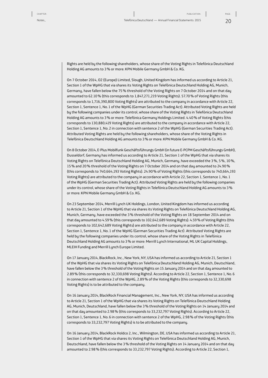20

Rights are held by the following shareholders, whose share of the Voting Rights in Telefónica Deutschland Holding AG amounts to 3% or more: KPN Mobile Germany GmbH & Co. KG.

On 7 October 2014, O2 (Europe) Limited, Slough, United Kingdom has informed us according to Article 21, Section 1 of the WpHG that via shares its Voting Rights on Telefónica Deutschland Holding AG, Munich, Germany, have fallen below the 75% threshold of the Voting Rights on 7 October 2014 and on that day amounted to 62.10% (this corresponds to 1,847,271,219 Voting Rights). 57.70% of Voting Rights (this corresponds to 1,716,390,800 Voting Rights) are attributed to the company in accordance with Article 22, Section 1, Sentence 1, No.1 of the WpHG (German Securities Trading Act). Attributed Voting Rights are held by the following companies under its control, whose share of the Voting Rights in Telefónica Deutschland Holding AG amounts to 3% or more: Telefónica Germany Holdings Limited. 4.40% of Voting Rights (this corresponds to 130,880,419 Voting Rights) are attributed to the company in accordance with Article 22, Section 1, Sentence 1, No.2 in connection with sentence 2 of the WpHG (German Securities Trading Act). Attributed Voting Rights are held by the following shareholders, whose share of the Voting Rights in Telefónica Deutschland Holding AG amounts to 3% or more: KPN Mobile Germany GmbH & Co. KG.

On 8 October 2014, E-Plus Mobilfunk Geschäftsführungs GmbH (in future E-PCPM Geschäftsführungs GmbH), Dusseldorf, Germany has informed us according to Article 21, Section 1 of the WpHG that via shares its Voting Rights on Telefónica Deutschland Holding AG, Munich, Germany, have exceeded the 3%, 5%, 10%, 15% and 20% threshold of the Voting Rights on 7 October 2014 and on that day amounted to 24.90% (this corresponds to 740,664,193 Voting Rights). 24.90% of Voting Rights (this corresponds to 740,664,193 Voting Rights) are attributed to the company in accordance with Article 22, Section 1, Sentence 1, No.1 of the WpHG (German Securities Trading Act). Attributed Voting Rights are held by the following companies under its control, whose share of the Voting Rights in Telefónica Deutschland Holding AG amounts to 3% or more: KPN Mobile Germany GmbH & Co. KG.

On 23 September 2014, Merrill Lynch UK Holdings, London, United Kingdom has informed us according to Article 21, Section 1 of the WpHG that via shares its Voting Rights on Telefónica Deutschland Holding AG, Munich, Germany, have exceeded the 3% threshold of the Voting Rights on 18 September 2014 and on that day amounted to 4.59% (this corresponds to 102,642,689 Voting Rights). 4.59% of Voting Rights (this corresponds to 102,642,689 Voting Rights) are attributed to the company in accordance with Article 22, Section 1, Sentence 1, No. 1 of the WpHG (German Securities Trading Act). Attributed Voting Rights are held by the following companies under its control, whose share of the Voting Rights in Telefónica Deutschland Holding AG amounts to 3% or more: Merrill Lynch International, ML UK Capital Holdings, MLEIH Funding and Merrill Lynch Europe Limited.

On 17 January 2014, BlackRock, Inc., New York, NY, USA has informed us according to Article 21, Section 1 of the WpHG that via shares its Voting Rights on Telefónica Deutschland Holding AG, Munich, Deutschland, have fallen below the 3% threshold of the Voting Rights on 15 January 2014 and on that day amounted to 2.89% (this corresponds to 32,330,698 Voting Rights). According to Article 22, Section 1, Sentence 1, No.6 in connection with sentence 2 of the WpHG, 2.89% of the Voting Rights (this corresponds to 32,330,698 Voting Rights) is to be attributed to the company.

On 16 January 2014, BlackRock Financial Management, Inc., New York, NY, USA has informed us according to Article 21, Section 1 of the WpHG that via shares its Voting Rights on Telefónica Deutschland Holding AG, Munich, Deutschland, have fallen below the 3% threshold of the Voting Rights on 14 January 2014 and on that day amounted to 2.98% (this corresponds to 33,232,797 Voting Rights). According to Article 22, Section 1, Sentence 1, No.6 in connection with sentence 2 of the WpHG, 2.98% of the Voting Rights (this corresponds to 33,232,797 Voting Rights) is to be attributed to the company.

On 16 January 2014, BlackRock Holdco 2, Inc., Wilmington, DE, USA has informed us according to Article 21, Section 1 of the WpHG that via shares its Voting Rights on Telefónica Deutschland Holding AG, Munich, Deutschland, have fallen below the 3% threshold of the Voting Rights on 14 January 2014 and on that day amounted to 2.98% (this corresponds to 33,232,797 Voting Rights). According to Article 22, Section 1,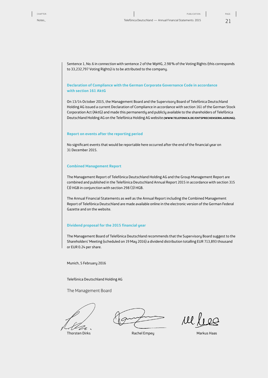Sentence 1, No.6 in connection with sentence 2 of the WpHG, 2.98% of the Voting Rights (this corresponds to 33,232,797 Voting Rights) is to be attributed to the company.

#### **Declaration of Compliance with the German Corporate Governance Code in accordance with section 161 AktG**

On 13/14 October 2015, the Management Board and the Supervisory Board of Telefónica Deutschland Holding AG issued a current Declaration of Compliance in accordance with section 161 of the German Stock Corporation Act (AktG) and made this permanently and publicly available to the shareholders of Telefónica Deutschland Holding AG on the Telefónica Holding AG website **(WWW.TELEFONICA.DE/ENTSPRECHENSERKLAERUNG)**.

#### **Report on events after the reporting period**

No significant events that would be reportable here occurred after the end of the financial year on 31 December 2015.

#### **Combined Management Report**

The Management Report of Telefónica Deutschland Holding AG and the Group Management Report are combined and published in the Telefónica Deutschland Annual Report 2015 in accordance with section 315 (3) HGB in conjunction with section 298 (3) HGB.

The Annual Financial Statements as well as the Annual Report including the Combined Management Report of Telefónica Deutschland are made available online in the electronic version of the German Federal Gazette and on the website.

#### **Dividend proposal for the 2015 financial year**

The Management Board of Telefónica Deutschland recommends that the Supervisory Board suggest to the Shareholders' Meeting (scheduled on 19 May 2016) a dividend distribution totalling EUR 713,893 thousand or EUR 0.24 per share.

Munich, 5 February 2016

Telefónica Deutschland Holding AG

The Management Board

.

Ul.

Thorsten Dirks **Rachel Empey Markus Haas**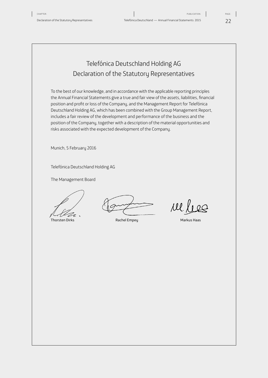22 PAGE:

### <span id="page-21-0"></span>Telefónica Deutschland Holding AG Declaration of the Statutory Representatives

To the best of our knowledge, and in accordance with the applicable reporting principles the Annual Financial Statements give a true and fair view of the assets, liabilities, financial position and profit or loss of the Company, and the Management Report for Telefónica Deutschland Holding AG, which has been combined with the Group Management Report, includes a fair review of the development and performance of the business and the position of the Company, together with a description of the material opportunities and risks associated with the expected development of the Company.

Munich, 5 February 2016

Telefónica Deutschland Holding AG

The Management Board

V

Thorsten Dirks **Rachel Empey Rachel Empey Rachel Empey** Markus Haas

rel lieg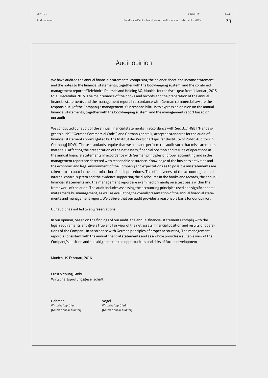### Audit opinion

<span id="page-22-0"></span>We have audited the annual financial statements, comprising the balance sheet, the income statement and the notes to the financial statements, together with the bookkeeping system, and the combined management report of Telefónica Deutschland Holding AG, Munich, for the fiscal year from 1 January 2015 to 31 December 2015. The maintenance of the books and records and the preparation of the annual financial statements and the management report in accordance with German commercial law are the responsibility of the Company's management. Our responsibility is to express an opinion on the annual financial statements, together with the bookkeeping system, and the management report based on our audit.

We conducted our audit of the annual financial statements in accordance with Sec. 317 HGB ["Handelsgesetzbuch": "German Commercial Code"] and German generally accepted standards for the audit of financial statements promulgated by the Institut der Wirtschaftsprüfer [Institute of Public Auditors in Germany] (IDW). Those standards require that we plan and perform the audit such that misstatements materially affecting the presentation of the net assets, financial position and results of operations in the annual financial statements in accordance with German principles of proper accounting and in the management report are detected with reasonable assurance. Knowledge of the business activities and the economic and legal environment of the Company and expectations as to possible misstatements are taken into account in the determination of audit procedures. The effectiveness of the accounting-related internal control system and the evidence supporting the disclosures in the books and records, the annual financial statements and the management report are examined primarily on a test basis within the framework of the audit. The audit includes assessing the accounting principles used and significant estimates made by management, as well as evaluating the overall presentation of the annual financial statements and management report. We believe that our audit provides a reasonable basis for our opinion.

Our audit has not led to any reservations.

In our opinion, based on the findings of our audit, the annual financial statements comply with the legal requirements and give a true and fair view of the net assets, financial position and results of operations of the Company in accordance with German principles of proper accounting. The management report is consistent with the annual financial statements and as a whole provides a suitable view of the Company's position and suitably presents the opportunities and risks of future development.

Munich, 19 February 2016

Ernst&Young GmbH Wirtschaftsprüfungsgesellschaft

Dahmen Vogel Wirtschaftsprüfer Wirtschaftsprüferin

[German public auditor] [German public auditor]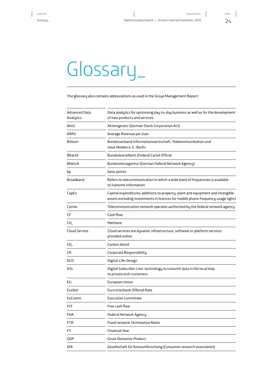# <span id="page-23-0"></span>Glossary\_

The glossary also contains abbreviations as used in the Group Management Report.

| <b>Advanced Data</b><br>Analytics | Data analytics for optimising day-to-day business as well as for the development<br>of new products and services                                                    |  |  |
|-----------------------------------|---------------------------------------------------------------------------------------------------------------------------------------------------------------------|--|--|
| AktG                              | Aktiengesetz (German Stock Corporation Act)                                                                                                                         |  |  |
| ARPU                              | Average Revenue per User                                                                                                                                            |  |  |
| Bitkom                            | Bundesverband Informationswirtschaft, Telekommunikation und<br>neue Medien e.V., Berlin                                                                             |  |  |
| BKartA                            | Bundeskartellamt (Federal Cartel Office)                                                                                                                            |  |  |
| <b>BNetzA</b>                     | Bundesnetzagentur (German Federal Network Agency)                                                                                                                   |  |  |
| bp                                | basis points                                                                                                                                                        |  |  |
| Broadband                         | Refers to telecommunication in which a wide band of frequencies is available<br>to transmit information                                                             |  |  |
| CapEx                             | Capital expenditures: additions to property, plant and equipment and intangible<br>assets excluding investments in licences for mobile phone frequency usage rights |  |  |
| Carrier                           | Telecommunication network operator authorized by the federal network agency                                                                                         |  |  |
| CF                                | Cash flow                                                                                                                                                           |  |  |
| $CH_{4}$                          | Methane                                                                                                                                                             |  |  |
| <b>Cloud Service</b>              | Cloud services are dynamic infrastructure, software or platform services<br>provided online                                                                         |  |  |
| CO <sub>2</sub>                   | Carbon dioxid                                                                                                                                                       |  |  |
| CR                                | Corporate Responsibility                                                                                                                                            |  |  |
| DLD                               | Digital-Life-Design                                                                                                                                                 |  |  |
| dsl                               | Digital Subscriber Line: technology to transmit data in the local loop<br>to private end-customers                                                                  |  |  |
| EU                                | European Union                                                                                                                                                      |  |  |
| Euribor                           | Euro Interbank Offered Rate                                                                                                                                         |  |  |
| ExComm                            | <b>Executive Committee</b>                                                                                                                                          |  |  |
| FCF                               | Free cash flow                                                                                                                                                      |  |  |
| FNA                               | Federal Network Agency                                                                                                                                              |  |  |
| FTR                               | <b>Fixed network Termination Rates</b>                                                                                                                              |  |  |
| FY                                | <b>Financial Year</b>                                                                                                                                               |  |  |
| GDP                               | <b>Gross Domestic Product</b>                                                                                                                                       |  |  |
| GfK                               | Gesellschaft für Konsumforschung (Consumer research association)                                                                                                    |  |  |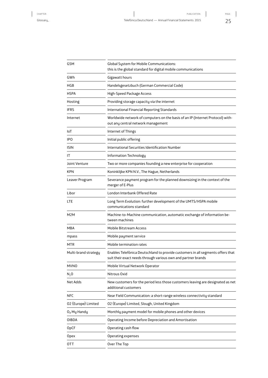| <b>GSM</b>              | Global System for Mobile Communications:<br>this is the global standard for digital mobile communications                                        |
|-------------------------|--------------------------------------------------------------------------------------------------------------------------------------------------|
| GWh                     | Gigawatt hours                                                                                                                                   |
| HGB                     | Handelsgesetzbuch (German Commercial Code)                                                                                                       |
| <b>HSPA</b>             | High-Speed Package Access                                                                                                                        |
| Hosting                 | Providing storage capacity via the internet                                                                                                      |
| <b>IFRS</b>             | International Financial Reporting Standards                                                                                                      |
| Internet                | Worldwide network of computers on the basis of an IP (Internet Protocol) with-<br>out any central network management                             |
| IoT                     | Internet of Things                                                                                                                               |
| IP <sub>0</sub>         | Initial public offering                                                                                                                          |
| <b>ISIN</b>             | <b>International Securities Identification Number</b>                                                                                            |
| ΙT                      | Information Technology                                                                                                                           |
| Joint Venture           | Two or more companies founding a new enterprise for cooperation                                                                                  |
| <b>KPN</b>              | Koninklijke KPN N.V., The Hague, Netherlands                                                                                                     |
| Leaver Program          | Severance payment program for the planned downsizing in the context of the<br>merger of E-Plus                                                   |
| Libor                   | London Interbank Offered Rate                                                                                                                    |
| LTE                     | Long Term Evolution: further development of the UMTS/HSPA mobile<br>communications standard                                                      |
| M2M                     | Machine-to-Machine communication, automatic exchange of information be-<br>tween machines                                                        |
| MBA                     | Mobile Bitstream Access                                                                                                                          |
| mpass                   | Mobile payment service                                                                                                                           |
| MTR                     | Mobile termination rates                                                                                                                         |
| Multi-brand strategy    | Enables Telefónica Deutschland to provide customers in all segments offers that<br>suit their exact needs through various own and partner brands |
| <b>MVNO</b>             | Mobile Virtual Network Operator                                                                                                                  |
| $N2$ O                  | Nitrous Oxid                                                                                                                                     |
| Net Adds                | New customers for the period less those customers leaving are designated as net<br>additional customers                                          |
| <b>NFC</b>              | Near Field Communication: a short-range wireless connectivity standard                                                                           |
| 02 (Europe) Limited     | 02 (Europe) Limited, Slough, United Kingdom                                                                                                      |
| O <sub>2</sub> My Handy | Monthly payment model for mobile phones and other devices                                                                                        |
| OIBDA                   | Operating Income before Depreciation and Amortisation                                                                                            |
| OpCF                    | Operating cash flow                                                                                                                              |
| Opex                    | Operating expenses                                                                                                                               |
| OTT                     | Over The Top                                                                                                                                     |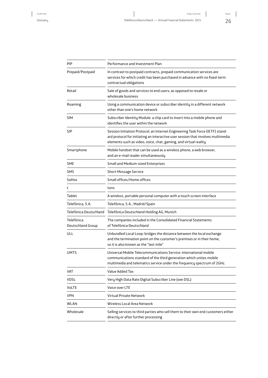| PIP                             | Performance and Investment Plan                                                                                                                                                                                                       |
|---------------------------------|---------------------------------------------------------------------------------------------------------------------------------------------------------------------------------------------------------------------------------------|
| Prepaid/Postpaid                | In contrast to postpaid contracts, prepaid communication services are<br>services for which credit has been purchased in advance with no fixed-term<br>contractual obligations                                                        |
| Retail                          | Sale of goods and services to end users; as opposed to resale or<br>wholesale business                                                                                                                                                |
| Roaming                         | Using a communication device or subscriber identity in a different network<br>other than one's home network                                                                                                                           |
| <b>SIM</b>                      | Subscriber Identity Module: a chip card to insert into a mobile phone and<br>identifies the user within the network                                                                                                                   |
| <b>SIP</b>                      | Session Initiation Protocol: an Internet Engineering Task Force (IETF) stand-<br>ard protocol for initiating an interactive user session that involves multimedia<br>elements such as video, voice, chat, gaming, and virtual reality |
| Smartphone                      | Mobile handset that can be used as a wireless phone, a web browser,<br>and an e-mail reader simultaneously                                                                                                                            |
| <b>SME</b>                      | Small and Medium-sized Enterprises                                                                                                                                                                                                    |
| <b>SMS</b>                      | <b>Short Message Service</b>                                                                                                                                                                                                          |
| SoHos                           | Small offices/Home offices                                                                                                                                                                                                            |
| t                               | tons                                                                                                                                                                                                                                  |
| Tablet                          | A wireless, portable personal computer with a touch screen interface                                                                                                                                                                  |
| Telefónica, S.A.                | Telefónica, S.A., Madrid/Spain                                                                                                                                                                                                        |
| Telefónica Deutschland          | Telefónica Deutschland Holding AG, Munich                                                                                                                                                                                             |
| Telefónica<br>Deutschland Group | The companies included in the Consolidated Financial Statements<br>of Telefónica Deutschland                                                                                                                                          |
| ULL                             | Unbundled Local Loop: bridges the distance between the local exchange<br>and the termination point on the customer's premises or in their home,<br>so it is also known as the "last mile"                                             |
| UMTS                            | Universal Mobile Telecommunications Service: international mobile<br>communications standard of the third generation which unites mobile<br>multimedia and telematics service under the frequency spectrum of 2GHz.                   |
| VAT                             | Value Added Tax                                                                                                                                                                                                                       |
| <b>VDSL</b>                     | Very High Data Rate Digital Subscriber Line (see DSL)                                                                                                                                                                                 |
| VoLTE                           | Voice over LTE                                                                                                                                                                                                                        |
| <b>VPN</b>                      | <b>Virtual Private Network</b>                                                                                                                                                                                                        |
| WLAN                            | Wireless Local Area Network                                                                                                                                                                                                           |
| Wholesale                       | Selling services to third parties who sell them to their own end customers either<br>directly or after further processing                                                                                                             |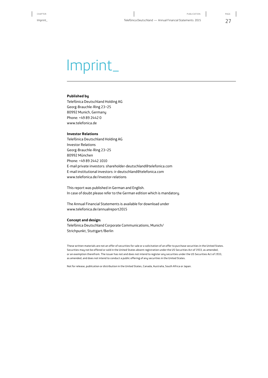### <span id="page-26-0"></span>Imprint\_

#### **Published by**

Telefónica Deutschland Holding AG Georg-Brauchle-Ring 23–25 80992 Munich, Germany Phone: +49 89 2442 0 www.telefonica.de

#### **Investor Relations**

Telefónica Deutschland Holding AG Investor Relations Georg-Brauchle-Ring 23–25 80992 München Phone: +49 89 2442 1010 E-mail private investors: shareholder-deutschland@telefonica.com E-mail institutional investors: ir-deutschland@telefonica.com www.telefonica.de/investor-relations

This report was published in German and English. In case of doubt please refer to the German edition which is mandatory.

The Annual Financial Statements is available for download under www.telefonica.de/annualreport2015

#### **Concept and design:**

Telefónica Deutschland Corporate Communications, Munich/ Strichpunkt, Stuttgart/Berlin

These written materials are not an offer of securities for sale or a solicitation of an offer to purchase securities in the United States. Securities may not be offered or sold in the United States absent registration under the US Securities Act of 1933, as amended, or an exemption therefrom. The issuer has not and does not intend to register any securities under the US Securities Act of 1933, as amended, and does not intend to conduct a public offering of any securities in the United States.

Not for release, publication or distribution in the United States, Canada, Australia, South Africa or Japan.